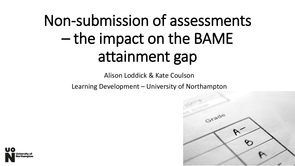# Non-submission of assessments – the impact on the BAME attainment gap

Alison Loddick & Kate Coulson

Learning Development – University of Northampton



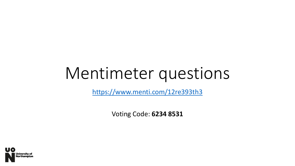# Mentimeter questions

<https://www.menti.com/12re393th3>

Voting Code: **6234 8531**

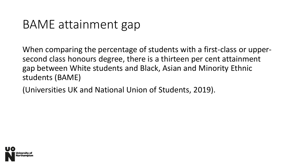### BAME attainment gap

When comparing the percentage of students with a first-class or uppersecond class honours degree, there is a thirteen per cent attainment gap between White students and Black, Asian and Minority Ethnic students (BAME)

(Universities UK and National Union of Students, 2019).

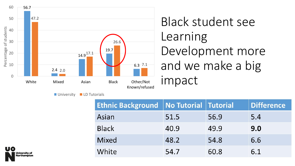

■ University ■ LD Tutorials

## Black student see Learning Development more and we make a big impact

| <b>Ethnic Background</b> | No Tutorial Tutorial |      | <b>Difference</b> |
|--------------------------|----------------------|------|-------------------|
| Asian                    | 51.5                 | 56.9 | 5.4               |
| <b>Black</b>             | 40.9                 | 49.9 | 9.0               |
| <b>Mixed</b>             | 48.2                 | 54.8 | 6.6               |
| White                    | 54.7                 | 60.8 | 6.1               |

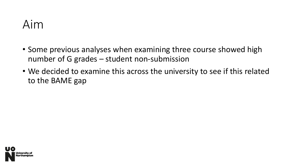

- Some previous analyses when examining three course showed high number of G grades – student non-submission
- We decided to examine this across the university to see if this related to the BAME gap

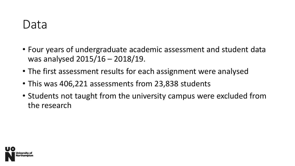### Data

- Four years of undergraduate academic assessment and student data was analysed 2015/16 – 2018/19.
- The first assessment results for each assignment were analysed
- This was 406,221 assessments from 23,838 students
- Students not taught from the university campus were excluded from the research

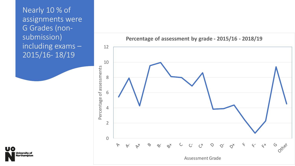Nearly 10 % of assignments were G Grades (nonsubmission) including exams – 2015/16- 18/19

**To** 

niversity of **lorthampton** 



**Percentage of assessment by grade - 2015/16 - 2018/19**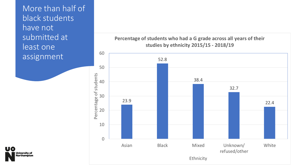More than half of black students have not submitted at least one assignment





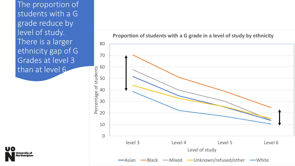The proportion of students with a G grade reduce by level of study. There is a larger ethnicity gap of G Grades at level 3 than at level 6



**Proportion of students with a G grade in a level of study by ethnicity**

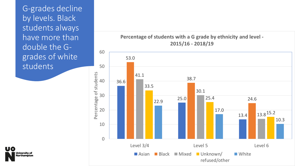G-grades decline by levels. Black students always have more than double the Ggrades of white students



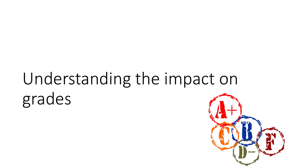# Understanding the impact on grades

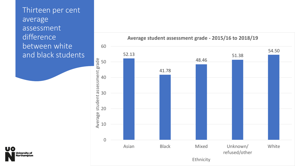Thirteen per cent average assessment difference between white and black students



**Average student assessment grade - 2015/16 to 2018/19**

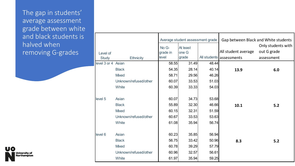The gap in students' average assessment grade between white and black students is halved when removing G-grades



|                          |                       |                            | Average student assessment grade |       | Gap between Black and White students            |                                                 |
|--------------------------|-----------------------|----------------------------|----------------------------------|-------|-------------------------------------------------|-------------------------------------------------|
| Level of<br><b>Study</b> | <b>Ethnicity</b>      | No G-<br>grade in<br>level | At least<br>one G<br>grade       |       | All student average<br>All students assessments | Only students with<br>out G grade<br>assessment |
| level 3 or 4 Asian       |                       | 58.55                      | 31.49                            | 48.44 |                                                 |                                                 |
|                          | <b>Black</b>          | 54.35                      | 28.14                            | 40.14 | 13.9                                            | 6.0                                             |
|                          | <b>Mixed</b>          | 58.71                      | 29.56                            | 46.26 |                                                 |                                                 |
|                          | Unknown/refused/other | 60.07                      | 33.53                            | 51.03 |                                                 |                                                 |
|                          | White                 | 60.39                      | 33.33                            | 54.03 |                                                 |                                                 |
| level 5                  | Asian                 | 60.07                      | 34.73                            | 53.68 |                                                 |                                                 |
|                          | <b>Black</b>          | 55.89                      | 32.30                            | 46.66 | 10.1                                            | 5.2                                             |
|                          | <b>Mixed</b>          | 60.15                      | 32.31                            | 51.59 |                                                 |                                                 |
|                          | Unknown/refused/other | 60.67                      | 33.53                            | 53.63 |                                                 |                                                 |
|                          | White                 | 61.08                      | 35.94                            | 56.74 |                                                 |                                                 |
| level 6                  | Asian                 | 60.23                      | 35.85                            | 56.94 |                                                 |                                                 |
|                          | <b>Black</b>          | 56.75                      | 33.42                            | 50.96 | 8.3                                             | 5.2                                             |
|                          | <b>Mixed</b>          | 60.78                      | 39.29                            | 57.79 |                                                 |                                                 |
|                          | Unknown/refused/other | 60.96                      | 32.57                            | 56.61 |                                                 |                                                 |
|                          | White                 | 61.97                      | 35.94                            | 59.25 |                                                 |                                                 |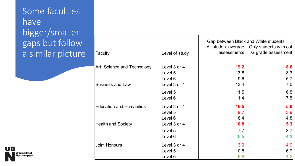#### Some faculties have bigger/smaller gaps but follow a similar picture

|                                 |                | Gap between Black and White students<br>All student average Only students with out |                    |  |
|---------------------------------|----------------|------------------------------------------------------------------------------------|--------------------|--|
| Faculty                         | Level of study | assessments                                                                        | G grade assessment |  |
|                                 |                |                                                                                    |                    |  |
| Art, Science and Technology     | Level 3 or 4   | 19.2                                                                               | 8.6                |  |
|                                 | Level 5        | 13.8                                                                               | 8.3                |  |
|                                 | Level 6        | 9.6                                                                                | 5.7                |  |
| <b>Business and Law</b>         | Level 3 or 4   | 13.4                                                                               | 7.0                |  |
|                                 | Level 5        | 11.5                                                                               | 6.5                |  |
|                                 | Level 6        | 11.4                                                                               | 7.5                |  |
| <b>Education and Humanities</b> | Level 3 or 4   | 16.5                                                                               | 5.0                |  |
|                                 | Level 5        | 9.7                                                                                | 3.9                |  |
|                                 | Level 6        | 8.4                                                                                | 4.8                |  |
| <b>Health and Society</b>       | Level 3 or 4   | 10.8                                                                               | 5.3                |  |
|                                 | Level 5        | 7.7                                                                                | 3.7                |  |
|                                 | Level 6        | 5.5                                                                                | 4.3                |  |
| <b>Joint Honours</b>            | Level 3 or 4   | 13.9                                                                               | 4.9                |  |
|                                 | Level 5        | 10.8                                                                               | 6.9                |  |
|                                 | Level 6        | 6.8                                                                                | 4.2                |  |

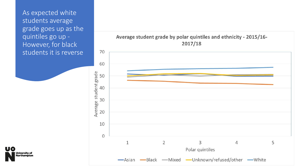As expected white students average grade goes up as the quintiles go up - However, for black students it is reverse



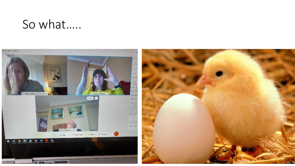### So what…..

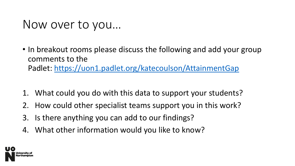### Now over to you…

- In breakout rooms please discuss the following and add your group comments to the Padlet: <https://uon1.padlet.org/katecoulson/AttainmentGap>
- 1. What could you do with this data to support your students?
- 2. How could other specialist teams support you in this work?
- 3. Is there anything you can add to our findings?
- 4. What other information would you like to know?